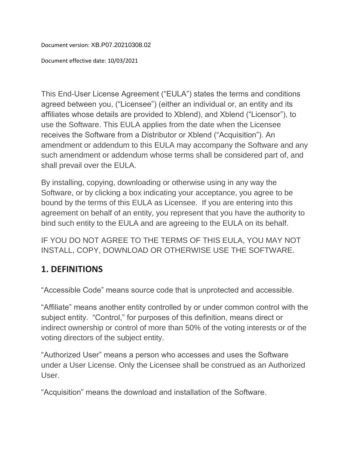Document version: XB.P07.20210308.02

Document effective date: 10/03/2021

This End-User License Agreement ("EULA") states the terms and conditions agreed between you, ("Licensee") (either an individual or, an entity and its affiliates whose details are provided to Xblend), and Xblend ("Licensor"), to use the Software. This EULA applies from the date when the Licensee receives the Software from a Distributor or Xblend ("Acquisition"). An amendment or addendum to this EULA may accompany the Software and any such amendment or addendum whose terms shall be considered part of, and shall prevail over the EULA.

By installing, copying, downloading or otherwise using in any way the Software, or by clicking a box indicating your acceptance, you agree to be bound by the terms of this EULA as Licensee. If you are entering into this agreement on behalf of an entity, you represent that you have the authority to bind such entity to the EULA and are agreeing to the EULA on its behalf.

IF YOU DO NOT AGREE TO THE TERMS OF THIS EULA, YOU MAY NOT INSTALL, COPY, DOWNLOAD OR OTHERWISE USE THE SOFTWARE.

### **1. DEFINITIONS**

"Accessible Code" means source code that is unprotected and accessible.

"Affiliate" means another entity controlled by or under common control with the subject entity. "Control," for purposes of this definition, means direct or indirect ownership or control of more than 50% of the voting interests or of the voting directors of the subject entity.

"Authorized User" means a person who accesses and uses the Software under a User License. Only the Licensee shall be construed as an Authorized User.

"Acquisition" means the download and installation of the Software.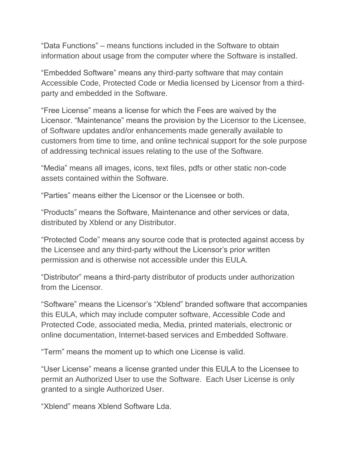"Data Functions" – means functions included in the Software to obtain information about usage from the computer where the Software is installed.

"Embedded Software" means any third-party software that may contain Accessible Code, Protected Code or Media licensed by Licensor from a thirdparty and embedded in the Software.

"Free License" means a license for which the Fees are waived by the Licensor. "Maintenance" means the provision by the Licensor to the Licensee, of Software updates and/or enhancements made generally available to customers from time to time, and online technical support for the sole purpose of addressing technical issues relating to the use of the Software.

"Media" means all images, icons, text files, pdfs or other static non-code assets contained within the Software.

"Parties" means either the Licensor or the Licensee or both.

"Products" means the Software, Maintenance and other services or data, distributed by Xblend or any Distributor.

"Protected Code" means any source code that is protected against access by the Licensee and any third-party without the Licensor's prior written permission and is otherwise not accessible under this EULA.

"Distributor" means a third-party distributor of products under authorization from the Licensor.

"Software" means the Licensor's "Xblend" branded software that accompanies this EULA, which may include computer software, Accessible Code and Protected Code, associated media, Media, printed materials, electronic or online documentation, Internet-based services and Embedded Software.

"Term" means the moment up to which one License is valid.

"User License" means a license granted under this EULA to the Licensee to permit an Authorized User to use the Software. Each User License is only granted to a single Authorized User.

"Xblend" means Xblend Software Lda.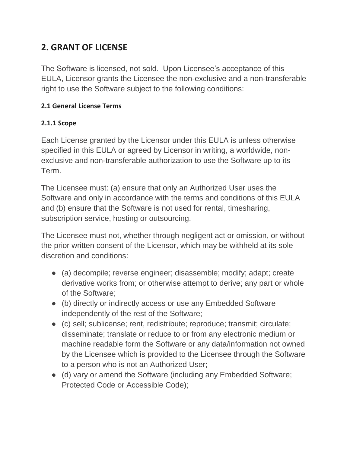## **2. GRANT OF LICENSE**

The Software is licensed, not sold. Upon Licensee's acceptance of this EULA, Licensor grants the Licensee the non-exclusive and a non-transferable right to use the Software subject to the following conditions:

#### **2.1 General License Terms**

#### **2.1.1 Scope**

Each License granted by the Licensor under this EULA is unless otherwise specified in this EULA or agreed by Licensor in writing, a worldwide, nonexclusive and non-transferable authorization to use the Software up to its Term.

The Licensee must: (a) ensure that only an Authorized User uses the Software and only in accordance with the terms and conditions of this EULA and (b) ensure that the Software is not used for rental, timesharing, subscription service, hosting or outsourcing.

The Licensee must not, whether through negligent act or omission, or without the prior written consent of the Licensor, which may be withheld at its sole discretion and conditions:

- (a) decompile; reverse engineer; disassemble; modify; adapt; create derivative works from; or otherwise attempt to derive; any part or whole of the Software;
- (b) directly or indirectly access or use any Embedded Software independently of the rest of the Software;
- (c) sell; sublicense; rent, redistribute; reproduce; transmit; circulate; disseminate; translate or reduce to or from any electronic medium or machine readable form the Software or any data/information not owned by the Licensee which is provided to the Licensee through the Software to a person who is not an Authorized User;
- (d) vary or amend the Software (including any Embedded Software; Protected Code or Accessible Code);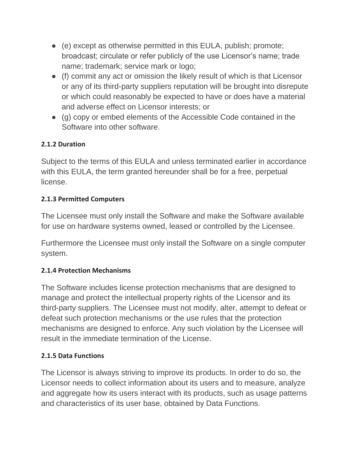- (e) except as otherwise permitted in this EULA, publish; promote; broadcast; circulate or refer publicly of the use Licensor's name; trade name; trademark; service mark or logo;
- (f) commit any act or omission the likely result of which is that Licensor or any of its third-party suppliers reputation will be brought into disrepute or which could reasonably be expected to have or does have a material and adverse effect on Licensor interests; or
- (g) copy or embed elements of the Accessible Code contained in the Software into other software.

### **2.1.2 Duration**

Subject to the terms of this EULA and unless terminated earlier in accordance with this EULA, the term granted hereunder shall be for a free, perpetual license.

#### **2.1.3 Permitted Computers**

The Licensee must only install the Software and make the Software available for use on hardware systems owned, leased or controlled by the Licensee.

Furthermore the Licensee must only install the Software on a single computer system.

#### **2.1.4 Protection Mechanisms**

The Software includes license protection mechanisms that are designed to manage and protect the intellectual property rights of the Licensor and its third-party suppliers. The Licensee must not modify, alter, attempt to defeat or defeat such protection mechanisms or the use rules that the protection mechanisms are designed to enforce. Any such violation by the Licensee will result in the immediate termination of the License.

#### **2.1.5 Data Functions**

The Licensor is always striving to improve its products. In order to do so, the Licensor needs to collect information about its users and to measure, analyze and aggregate how its users interact with its products, such as usage patterns and characteristics of its user base, obtained by Data Functions.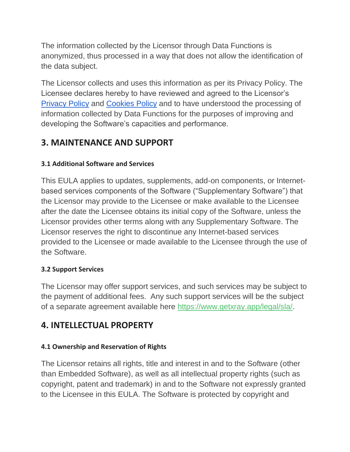The information collected by the Licensor through Data Functions is anonymized, thus processed in a way that does not allow the identification of the data subject.

The Licensor collects and uses this information as per its Privacy Policy. The Licensee declares hereby to have reviewed and agreed to the Licensor's [Privacy Policy](about:blank) and [Cookies Policy](about:blank) and to have understood the processing of information collected by Data Functions for the purposes of improving and developing the Software's capacities and performance.

## **3. MAINTENANCE AND SUPPORT**

#### **3.1 Additional Software and Services**

This EULA applies to updates, supplements, add-on components, or Internetbased services components of the Software ("Supplementary Software") that the Licensor may provide to the Licensee or make available to the Licensee after the date the Licensee obtains its initial copy of the Software, unless the Licensor provides other terms along with any Supplementary Software. The Licensor reserves the right to discontinue any Internet-based services provided to the Licensee or made available to the Licensee through the use of the Software.

#### **3.2 Support Services**

The Licensor may offer support services, and such services may be subject to the payment of additional fees. Any such support services will be the subject of a separate agreement available here [https://www.getxray.app/legal/sla/.](about:blank)

## **4. INTELLECTUAL PROPERTY**

### **4.1 Ownership and Reservation of Rights**

The Licensor retains all rights, title and interest in and to the Software (other than Embedded Software), as well as all intellectual property rights (such as copyright, patent and trademark) in and to the Software not expressly granted to the Licensee in this EULA. The Software is protected by copyright and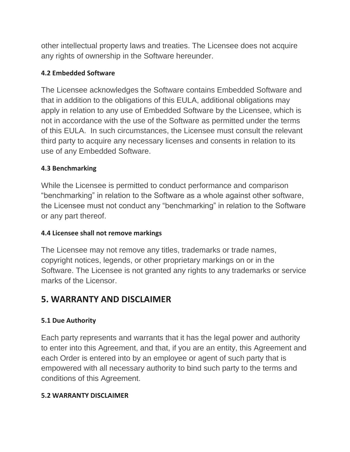other intellectual property laws and treaties. The Licensee does not acquire any rights of ownership in the Software hereunder.

#### **4.2 Embedded Software**

The Licensee acknowledges the Software contains Embedded Software and that in addition to the obligations of this EULA, additional obligations may apply in relation to any use of Embedded Software by the Licensee, which is not in accordance with the use of the Software as permitted under the terms of this EULA. In such circumstances, the Licensee must consult the relevant third party to acquire any necessary licenses and consents in relation to its use of any Embedded Software.

#### **4.3 Benchmarking**

While the Licensee is permitted to conduct performance and comparison "benchmarking" in relation to the Software as a whole against other software, the Licensee must not conduct any "benchmarking" in relation to the Software or any part thereof.

#### **4.4 Licensee shall not remove markings**

The Licensee may not remove any titles, trademarks or trade names, copyright notices, legends, or other proprietary markings on or in the Software. The Licensee is not granted any rights to any trademarks or service marks of the Licensor.

## **5. WARRANTY AND DISCLAIMER**

#### **5.1 Due Authority**

Each party represents and warrants that it has the legal power and authority to enter into this Agreement, and that, if you are an entity, this Agreement and each Order is entered into by an employee or agent of such party that is empowered with all necessary authority to bind such party to the terms and conditions of this Agreement.

#### **5.2 WARRANTY DISCLAIMER**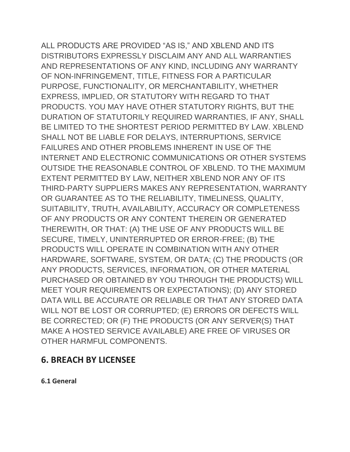ALL PRODUCTS ARE PROVIDED "AS IS," AND XBLEND AND ITS DISTRIBUTORS EXPRESSLY DISCLAIM ANY AND ALL WARRANTIES AND REPRESENTATIONS OF ANY KIND, INCLUDING ANY WARRANTY OF NON-INFRINGEMENT, TITLE, FITNESS FOR A PARTICULAR PURPOSE, FUNCTIONALITY, OR MERCHANTABILITY, WHETHER EXPRESS, IMPLIED, OR STATUTORY WITH REGARD TO THAT PRODUCTS. YOU MAY HAVE OTHER STATUTORY RIGHTS, BUT THE DURATION OF STATUTORILY REQUIRED WARRANTIES, IF ANY, SHALL BE LIMITED TO THE SHORTEST PERIOD PERMITTED BY LAW. XBLEND SHALL NOT BE LIABLE FOR DELAYS, INTERRUPTIONS, SERVICE FAILURES AND OTHER PROBLEMS INHERENT IN USE OF THE INTERNET AND ELECTRONIC COMMUNICATIONS OR OTHER SYSTEMS OUTSIDE THE REASONABLE CONTROL OF XBLEND. TO THE MAXIMUM EXTENT PERMITTED BY LAW, NEITHER XBLEND NOR ANY OF ITS THIRD-PARTY SUPPLIERS MAKES ANY REPRESENTATION, WARRANTY OR GUARANTEE AS TO THE RELIABILITY, TIMELINESS, QUALITY, SUITABILITY, TRUTH, AVAILABILITY, ACCURACY OR COMPLETENESS OF ANY PRODUCTS OR ANY CONTENT THEREIN OR GENERATED THEREWITH, OR THAT: (A) THE USE OF ANY PRODUCTS WILL BE SECURE, TIMELY, UNINTERRUPTED OR ERROR-FREE; (B) THE PRODUCTS WILL OPERATE IN COMBINATION WITH ANY OTHER HARDWARE, SOFTWARE, SYSTEM, OR DATA; (C) THE PRODUCTS (OR ANY PRODUCTS, SERVICES, INFORMATION, OR OTHER MATERIAL PURCHASED OR OBTAINED BY YOU THROUGH THE PRODUCTS) WILL MEET YOUR REQUIREMENTS OR EXPECTATIONS); (D) ANY STORED DATA WILL BE ACCURATE OR RELIABLE OR THAT ANY STORED DATA WILL NOT BE LOST OR CORRUPTED; (E) ERRORS OR DEFECTS WILL BE CORRECTED; OR (F) THE PRODUCTS (OR ANY SERVER(S) THAT MAKE A HOSTED SERVICE AVAILABLE) ARE FREE OF VIRUSES OR OTHER HARMFUL COMPONENTS.

### **6. BREACH BY LICENSEE**

**6.1 General**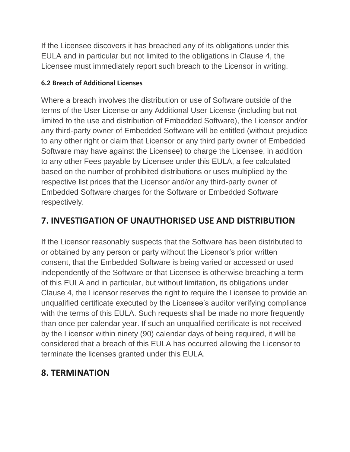If the Licensee discovers it has breached any of its obligations under this EULA and in particular but not limited to the obligations in Clause 4, the Licensee must immediately report such breach to the Licensor in writing.

### **6.2 Breach of Additional Licenses**

Where a breach involves the distribution or use of Software outside of the terms of the User License or any Additional User License (including but not limited to the use and distribution of Embedded Software), the Licensor and/or any third-party owner of Embedded Software will be entitled (without prejudice to any other right or claim that Licensor or any third party owner of Embedded Software may have against the Licensee) to charge the Licensee, in addition to any other Fees payable by Licensee under this EULA, a fee calculated based on the number of prohibited distributions or uses multiplied by the respective list prices that the Licensor and/or any third-party owner of Embedded Software charges for the Software or Embedded Software respectively.

## **7. INVESTIGATION OF UNAUTHORISED USE AND DISTRIBUTION**

If the Licensor reasonably suspects that the Software has been distributed to or obtained by any person or party without the Licensor's prior written consent, that the Embedded Software is being varied or accessed or used independently of the Software or that Licensee is otherwise breaching a term of this EULA and in particular, but without limitation, its obligations under Clause 4, the Licensor reserves the right to require the Licensee to provide an unqualified certificate executed by the Licensee's auditor verifying compliance with the terms of this EULA. Such requests shall be made no more frequently than once per calendar year. If such an unqualified certificate is not received by the Licensor within ninety (90) calendar days of being required, it will be considered that a breach of this EULA has occurred allowing the Licensor to terminate the licenses granted under this EULA.

## **8. TERMINATION**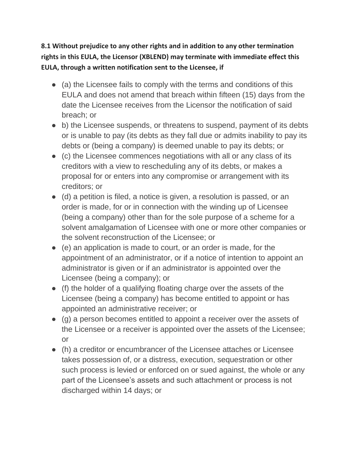**8.1 Without prejudice to any other rights and in addition to any other termination rights in this EULA, the Licensor (XBLEND) may terminate with immediate effect this EULA, through a written notification sent to the Licensee, if**

- $\bullet$  (a) the Licensee fails to comply with the terms and conditions of this EULA and does not amend that breach within fifteen (15) days from the date the Licensee receives from the Licensor the notification of said breach; or
- b) the Licensee suspends, or threatens to suspend, payment of its debts or is unable to pay (its debts as they fall due or admits inability to pay its debts or (being a company) is deemed unable to pay its debts; or
- (c) the Licensee commences negotiations with all or any class of its creditors with a view to rescheduling any of its debts, or makes a proposal for or enters into any compromise or arrangement with its creditors; or
- (d) a petition is filed, a notice is given, a resolution is passed, or an order is made, for or in connection with the winding up of Licensee (being a company) other than for the sole purpose of a scheme for a solvent amalgamation of Licensee with one or more other companies or the solvent reconstruction of the Licensee; or
- (e) an application is made to court, or an order is made, for the appointment of an administrator, or if a notice of intention to appoint an administrator is given or if an administrator is appointed over the Licensee (being a company); or
- (f) the holder of a qualifying floating charge over the assets of the Licensee (being a company) has become entitled to appoint or has appointed an administrative receiver; or
- (g) a person becomes entitled to appoint a receiver over the assets of the Licensee or a receiver is appointed over the assets of the Licensee; or
- (h) a creditor or encumbrancer of the Licensee attaches or Licensee takes possession of, or a distress, execution, sequestration or other such process is levied or enforced on or sued against, the whole or any part of the Licensee's assets and such attachment or process is not discharged within 14 days; or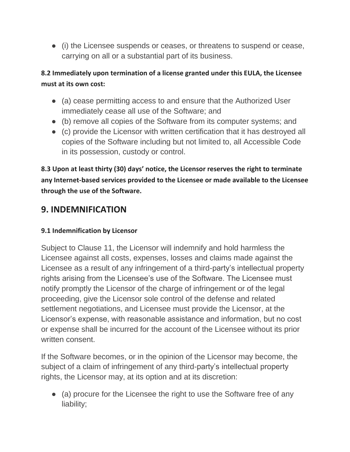● (i) the Licensee suspends or ceases, or threatens to suspend or cease, carrying on all or a substantial part of its business.

### **8.2 Immediately upon termination of a license granted under this EULA, the Licensee must at its own cost:**

- (a) cease permitting access to and ensure that the Authorized User immediately cease all use of the Software; and
- (b) remove all copies of the Software from its computer systems; and
- (c) provide the Licensor with written certification that it has destroyed all copies of the Software including but not limited to, all Accessible Code in its possession, custody or control.

**8.3 Upon at least thirty (30) days' notice, the Licensor reserves the right to terminate any Internet-based services provided to the Licensee or made available to the Licensee through the use of the Software.**

## **9. INDEMNIFICATION**

#### **9.1 Indemnification by Licensor**

Subject to Clause 11, the Licensor will indemnify and hold harmless the Licensee against all costs, expenses, losses and claims made against the Licensee as a result of any infringement of a third-party's intellectual property rights arising from the Licensee's use of the Software. The Licensee must notify promptly the Licensor of the charge of infringement or of the legal proceeding, give the Licensor sole control of the defense and related settlement negotiations, and Licensee must provide the Licensor, at the Licensor's expense, with reasonable assistance and information, but no cost or expense shall be incurred for the account of the Licensee without its prior written consent.

If the Software becomes, or in the opinion of the Licensor may become, the subject of a claim of infringement of any third-party's intellectual property rights, the Licensor may, at its option and at its discretion:

• (a) procure for the Licensee the right to use the Software free of any liability;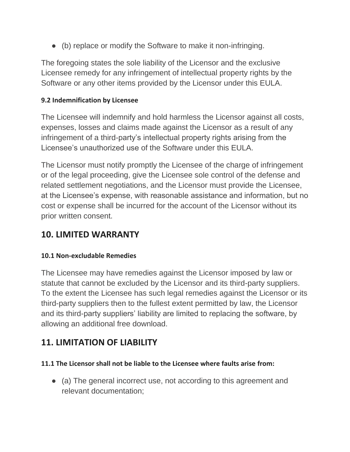● (b) replace or modify the Software to make it non-infringing.

The foregoing states the sole liability of the Licensor and the exclusive Licensee remedy for any infringement of intellectual property rights by the Software or any other items provided by the Licensor under this EULA.

#### **9.2 Indemnification by Licensee**

The Licensee will indemnify and hold harmless the Licensor against all costs, expenses, losses and claims made against the Licensor as a result of any infringement of a third-party's intellectual property rights arising from the Licensee's unauthorized use of the Software under this EULA.

The Licensor must notify promptly the Licensee of the charge of infringement or of the legal proceeding, give the Licensee sole control of the defense and related settlement negotiations, and the Licensor must provide the Licensee, at the Licensee's expense, with reasonable assistance and information, but no cost or expense shall be incurred for the account of the Licensor without its prior written consent.

## **10. LIMITED WARRANTY**

#### **10.1 Non-excludable Remedies**

The Licensee may have remedies against the Licensor imposed by law or statute that cannot be excluded by the Licensor and its third-party suppliers. To the extent the Licensee has such legal remedies against the Licensor or its third-party suppliers then to the fullest extent permitted by law, the Licensor and its third-party suppliers' liability are limited to replacing the software, by allowing an additional free download.

## **11. LIMITATION OF LIABILITY**

#### **11.1 The Licensor shall not be liable to the Licensee where faults arise from:**

● (a) The general incorrect use, not according to this agreement and relevant documentation;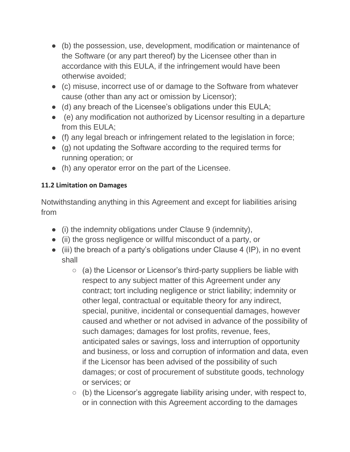- (b) the possession, use, development, modification or maintenance of the Software (or any part thereof) by the Licensee other than in accordance with this EULA, if the infringement would have been otherwise avoided;
- (c) misuse, incorrect use of or damage to the Software from whatever cause (other than any act or omission by Licensor);
- (d) any breach of the Licensee's obligations under this EULA;
- (e) any modification not authorized by Licensor resulting in a departure from this EULA;
- (f) any legal breach or infringement related to the legislation in force;
- (g) not updating the Software according to the required terms for running operation; or
- (h) any operator error on the part of the Licensee.

### **11.2 Limitation on Damages**

Notwithstanding anything in this Agreement and except for liabilities arising from

- (i) the indemnity obligations under Clause 9 (indemnity),
- (ii) the gross negligence or willful misconduct of a party, or
- (iii) the breach of a party's obligations under Clause 4 (IP), in no event shall
	- (a) the Licensor or Licensor's third-party suppliers be liable with respect to any subject matter of this Agreement under any contract; tort including negligence or strict liability; indemnity or other legal, contractual or equitable theory for any indirect, special, punitive, incidental or consequential damages, however caused and whether or not advised in advance of the possibility of such damages; damages for lost profits, revenue, fees, anticipated sales or savings, loss and interruption of opportunity and business, or loss and corruption of information and data, even if the Licensor has been advised of the possibility of such damages; or cost of procurement of substitute goods, technology or services; or
	- $\circ$  (b) the Licensor's aggregate liability arising under, with respect to, or in connection with this Agreement according to the damages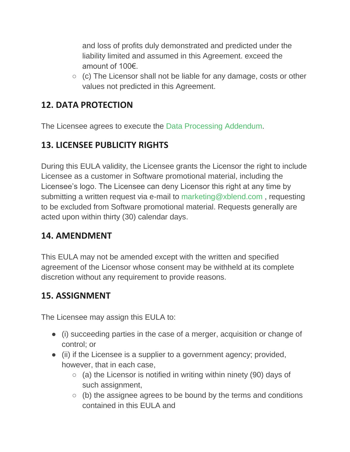and loss of profits duly demonstrated and predicted under the liability limited and assumed in this Agreement. exceed the amount of 100€.

○ (c) The Licensor shall not be liable for any damage, costs or other values not predicted in this Agreement.

## **12. DATA PROTECTION**

The Licensee agrees to execute the Data Processing Addendum.

## **13. LICENSEE PUBLICITY RIGHTS**

During this EULA validity, the Licensee grants the Licensor the right to include Licensee as a customer in Software promotional material, including the Licensee's logo. The Licensee can deny Licensor this right at any time by submitting a written request via e-mail to marketing@xblend.com , requesting to be excluded from Software promotional material. Requests generally are acted upon within thirty (30) calendar days.

## **14. AMENDMENT**

This EULA may not be amended except with the written and specified agreement of the Licensor whose consent may be withheld at its complete discretion without any requirement to provide reasons.

# **15. ASSIGNMENT**

The Licensee may assign this EULA to:

- (i) succeeding parties in the case of a merger, acquisition or change of control; or
- (ii) if the Licensee is a supplier to a government agency; provided, however, that in each case,
	- $\circ$  (a) the Licensor is notified in writing within ninety (90) days of such assignment,
	- $\circ$  (b) the assignee agrees to be bound by the terms and conditions contained in this EULA and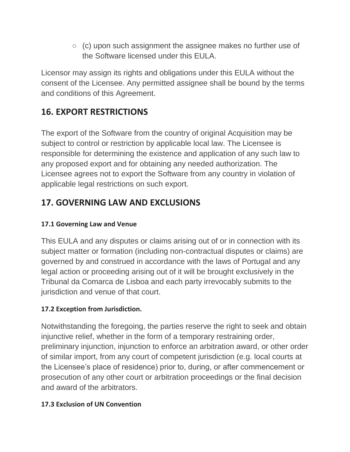$\circ$  (c) upon such assignment the assignee makes no further use of the Software licensed under this EULA.

Licensor may assign its rights and obligations under this EULA without the consent of the Licensee. Any permitted assignee shall be bound by the terms and conditions of this Agreement.

# **16. EXPORT RESTRICTIONS**

The export of the Software from the country of original Acquisition may be subject to control or restriction by applicable local law. The Licensee is responsible for determining the existence and application of any such law to any proposed export and for obtaining any needed authorization. The Licensee agrees not to export the Software from any country in violation of applicable legal restrictions on such export.

# **17. GOVERNING LAW AND EXCLUSIONS**

### **17.1 Governing Law and Venue**

This EULA and any disputes or claims arising out of or in connection with its subject matter or formation (including non-contractual disputes or claims) are governed by and construed in accordance with the laws of Portugal and any legal action or proceeding arising out of it will be brought exclusively in the Tribunal da Comarca de Lisboa and each party irrevocably submits to the jurisdiction and venue of that court.

### **17.2 Exception from Jurisdiction.**

Notwithstanding the foregoing, the parties reserve the right to seek and obtain injunctive relief, whether in the form of a temporary restraining order, preliminary injunction, injunction to enforce an arbitration award, or other order of similar import, from any court of competent jurisdiction (e.g. local courts at the Licensee's place of residence) prior to, during, or after commencement or prosecution of any other court or arbitration proceedings or the final decision and award of the arbitrators.

### **17.3 Exclusion of UN Convention**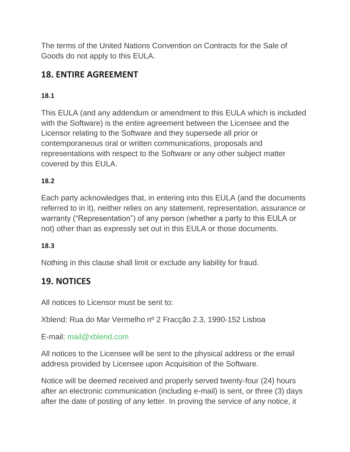The terms of the United Nations Convention on Contracts for the Sale of Goods do not apply to this EULA.

# **18. ENTIRE AGREEMENT**

### **18.1**

This EULA (and any addendum or amendment to this EULA which is included with the Software) is the entire agreement between the Licensee and the Licensor relating to the Software and they supersede all prior or contemporaneous oral or written communications, proposals and representations with respect to the Software or any other subject matter covered by this EULA.

### **18.2**

Each party acknowledges that, in entering into this EULA (and the documents referred to in it), neither relies on any statement, representation, assurance or warranty ("Representation") of any person (whether a party to this EULA or not) other than as expressly set out in this EULA or those documents.

### **18.3**

Nothing in this clause shall limit or exclude any liability for fraud.

## **19. NOTICES**

All notices to Licensor must be sent to:

Xblend: Rua do Mar Vermelho nº 2 Fracção 2.3, 1990-152 Lisboa

### E-mail: mail@xblend.com

All notices to the Licensee will be sent to the physical address or the email address provided by Licensee upon Acquisition of the Software.

Notice will be deemed received and properly served twenty-four (24) hours after an electronic communication (including e-mail) is sent, or three (3) days after the date of posting of any letter. In proving the service of any notice, it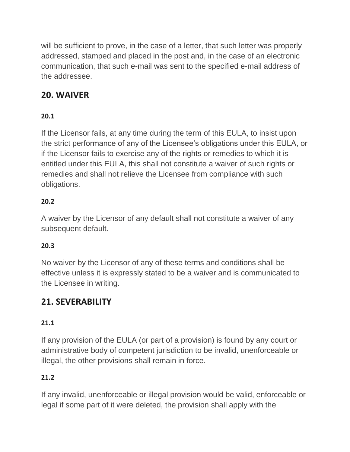will be sufficient to prove, in the case of a letter, that such letter was properly addressed, stamped and placed in the post and, in the case of an electronic communication, that such e-mail was sent to the specified e-mail address of the addressee.

# **20. WAIVER**

## **20.1**

If the Licensor fails, at any time during the term of this EULA, to insist upon the strict performance of any of the Licensee's obligations under this EULA, or if the Licensor fails to exercise any of the rights or remedies to which it is entitled under this EULA, this shall not constitute a waiver of such rights or remedies and shall not relieve the Licensee from compliance with such obligations.

### **20.2**

A waiver by the Licensor of any default shall not constitute a waiver of any subsequent default.

### **20.3**

No waiver by the Licensor of any of these terms and conditions shall be effective unless it is expressly stated to be a waiver and is communicated to the Licensee in writing.

## **21. SEVERABILITY**

### **21.1**

If any provision of the EULA (or part of a provision) is found by any court or administrative body of competent jurisdiction to be invalid, unenforceable or illegal, the other provisions shall remain in force.

### **21.2**

If any invalid, unenforceable or illegal provision would be valid, enforceable or legal if some part of it were deleted, the provision shall apply with the